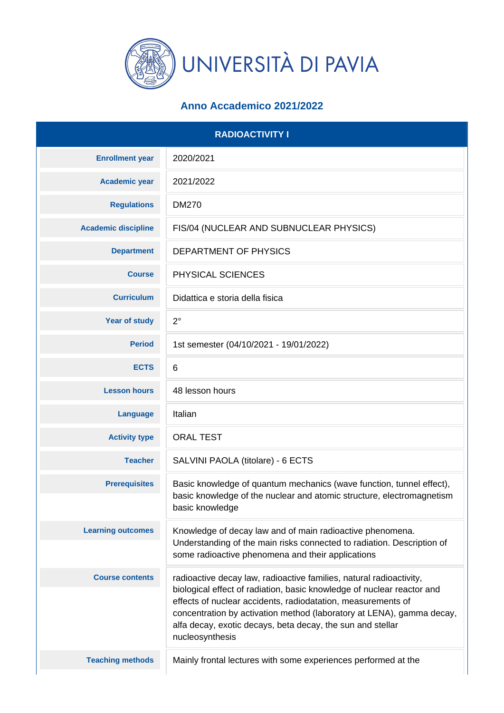

## **Anno Accademico 2021/2022**

| <b>RADIOACTIVITY I</b>     |                                                                                                                                                                                                                                                                                                                                                                         |
|----------------------------|-------------------------------------------------------------------------------------------------------------------------------------------------------------------------------------------------------------------------------------------------------------------------------------------------------------------------------------------------------------------------|
| <b>Enrollment year</b>     | 2020/2021                                                                                                                                                                                                                                                                                                                                                               |
| <b>Academic year</b>       | 2021/2022                                                                                                                                                                                                                                                                                                                                                               |
| <b>Regulations</b>         | <b>DM270</b>                                                                                                                                                                                                                                                                                                                                                            |
| <b>Academic discipline</b> | FIS/04 (NUCLEAR AND SUBNUCLEAR PHYSICS)                                                                                                                                                                                                                                                                                                                                 |
| <b>Department</b>          | DEPARTMENT OF PHYSICS                                                                                                                                                                                                                                                                                                                                                   |
| <b>Course</b>              | PHYSICAL SCIENCES                                                                                                                                                                                                                                                                                                                                                       |
| <b>Curriculum</b>          | Didattica e storia della fisica                                                                                                                                                                                                                                                                                                                                         |
| <b>Year of study</b>       | $2^{\circ}$                                                                                                                                                                                                                                                                                                                                                             |
| <b>Period</b>              | 1st semester (04/10/2021 - 19/01/2022)                                                                                                                                                                                                                                                                                                                                  |
| <b>ECTS</b>                | 6                                                                                                                                                                                                                                                                                                                                                                       |
| <b>Lesson hours</b>        | 48 lesson hours                                                                                                                                                                                                                                                                                                                                                         |
| <b>Language</b>            | Italian                                                                                                                                                                                                                                                                                                                                                                 |
| <b>Activity type</b>       | <b>ORAL TEST</b>                                                                                                                                                                                                                                                                                                                                                        |
| <b>Teacher</b>             | SALVINI PAOLA (titolare) - 6 ECTS                                                                                                                                                                                                                                                                                                                                       |
| <b>Prerequisites</b>       | Basic knowledge of quantum mechanics (wave function, tunnel effect),<br>basic knowledge of the nuclear and atomic structure, electromagnetism<br>basic knowledge                                                                                                                                                                                                        |
| <b>Learning outcomes</b>   | Knowledge of decay law and of main radioactive phenomena.<br>Understanding of the main risks connected to radiation. Description of<br>some radioactive phenomena and their applications                                                                                                                                                                                |
| <b>Course contents</b>     | radioactive decay law, radioactive families, natural radioactivity,<br>biological effect of radiation, basic knowledge of nuclear reactor and<br>effects of nuclear accidents, radiodatation, measurements of<br>concentration by activation method (laboratory at LENA), gamma decay,<br>alfa decay, exotic decays, beta decay, the sun and stellar<br>nucleosynthesis |
| <b>Teaching methods</b>    | Mainly frontal lectures with some experiences performed at the                                                                                                                                                                                                                                                                                                          |